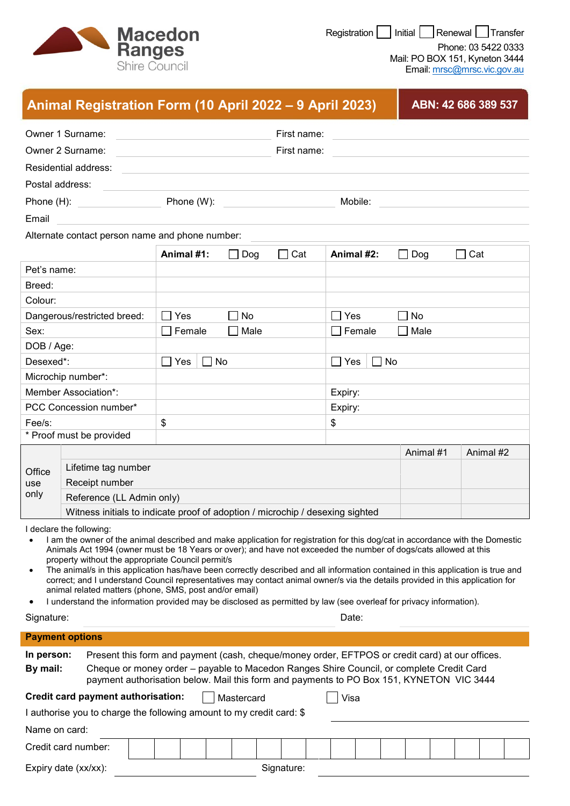

Registration | Initial | Renewal | Transfer

Phone: 03 5422 0333 Mail: PO BOX 151, Kyneton 3444 Email: [mrsc@mrsc.vic.gov.au](mailto:mrsc@mrsc.vic.gov.au)

|                                                                                                                                                                                                                                                                                                                                                                               | Animal Registration Form (10 April 2022 – 9 April 2023)                                                                                                                                                                                                                                                                                                                                                                                                                                                                                                                                                                                                                                                                                                                                 |                                                                               |             |            |                                                      | ABN: 42 686 389 537 |           |  |
|-------------------------------------------------------------------------------------------------------------------------------------------------------------------------------------------------------------------------------------------------------------------------------------------------------------------------------------------------------------------------------|-----------------------------------------------------------------------------------------------------------------------------------------------------------------------------------------------------------------------------------------------------------------------------------------------------------------------------------------------------------------------------------------------------------------------------------------------------------------------------------------------------------------------------------------------------------------------------------------------------------------------------------------------------------------------------------------------------------------------------------------------------------------------------------------|-------------------------------------------------------------------------------|-------------|------------|------------------------------------------------------|---------------------|-----------|--|
|                                                                                                                                                                                                                                                                                                                                                                               | Owner 1 Surname:                                                                                                                                                                                                                                                                                                                                                                                                                                                                                                                                                                                                                                                                                                                                                                        | First name:                                                                   |             |            |                                                      |                     |           |  |
| Owner 2 Surname:                                                                                                                                                                                                                                                                                                                                                              |                                                                                                                                                                                                                                                                                                                                                                                                                                                                                                                                                                                                                                                                                                                                                                                         |                                                                               | First name: |            |                                                      |                     |           |  |
|                                                                                                                                                                                                                                                                                                                                                                               | Residential address:                                                                                                                                                                                                                                                                                                                                                                                                                                                                                                                                                                                                                                                                                                                                                                    |                                                                               |             |            |                                                      |                     |           |  |
| Postal address:                                                                                                                                                                                                                                                                                                                                                               |                                                                                                                                                                                                                                                                                                                                                                                                                                                                                                                                                                                                                                                                                                                                                                                         |                                                                               |             |            |                                                      |                     |           |  |
| Phone (H):                                                                                                                                                                                                                                                                                                                                                                    |                                                                                                                                                                                                                                                                                                                                                                                                                                                                                                                                                                                                                                                                                                                                                                                         | Phone (W):                                                                    |             |            | Mobile:                                              |                     |           |  |
| Email                                                                                                                                                                                                                                                                                                                                                                         |                                                                                                                                                                                                                                                                                                                                                                                                                                                                                                                                                                                                                                                                                                                                                                                         |                                                                               |             |            |                                                      |                     |           |  |
|                                                                                                                                                                                                                                                                                                                                                                               | Alternate contact person name and phone number:                                                                                                                                                                                                                                                                                                                                                                                                                                                                                                                                                                                                                                                                                                                                         |                                                                               |             |            |                                                      |                     |           |  |
|                                                                                                                                                                                                                                                                                                                                                                               |                                                                                                                                                                                                                                                                                                                                                                                                                                                                                                                                                                                                                                                                                                                                                                                         | Animal #1:<br>Dog<br>$\blacksquare$                                           |             | $\Box$ Cat | Cat<br>Animal #2:<br>Dog<br>$\overline{\phantom{a}}$ |                     |           |  |
| Pet's name:                                                                                                                                                                                                                                                                                                                                                                   |                                                                                                                                                                                                                                                                                                                                                                                                                                                                                                                                                                                                                                                                                                                                                                                         |                                                                               |             |            |                                                      |                     |           |  |
| Breed:                                                                                                                                                                                                                                                                                                                                                                        |                                                                                                                                                                                                                                                                                                                                                                                                                                                                                                                                                                                                                                                                                                                                                                                         |                                                                               |             |            |                                                      |                     |           |  |
| Colour:                                                                                                                                                                                                                                                                                                                                                                       |                                                                                                                                                                                                                                                                                                                                                                                                                                                                                                                                                                                                                                                                                                                                                                                         |                                                                               |             |            |                                                      |                     |           |  |
| Dangerous/restricted breed:                                                                                                                                                                                                                                                                                                                                                   |                                                                                                                                                                                                                                                                                                                                                                                                                                                                                                                                                                                                                                                                                                                                                                                         | Yes<br>∩ No<br>$\overline{\phantom{0}}$                                       |             |            | Yes<br>No                                            |                     |           |  |
| Sex:                                                                                                                                                                                                                                                                                                                                                                          |                                                                                                                                                                                                                                                                                                                                                                                                                                                                                                                                                                                                                                                                                                                                                                                         | Female                                                                        | Male        |            | Female                                               | Male                |           |  |
| DOB / Age:                                                                                                                                                                                                                                                                                                                                                                    |                                                                                                                                                                                                                                                                                                                                                                                                                                                                                                                                                                                                                                                                                                                                                                                         |                                                                               |             |            |                                                      |                     |           |  |
| Desexed*:                                                                                                                                                                                                                                                                                                                                                                     |                                                                                                                                                                                                                                                                                                                                                                                                                                                                                                                                                                                                                                                                                                                                                                                         | No<br>Yes<br>$\Box$<br>$\blacksquare$                                         |             |            | No<br>Yes<br>$\blacksquare$<br>$\blacksquare$        |                     |           |  |
| Microchip number*:                                                                                                                                                                                                                                                                                                                                                            |                                                                                                                                                                                                                                                                                                                                                                                                                                                                                                                                                                                                                                                                                                                                                                                         |                                                                               |             |            |                                                      |                     |           |  |
| Member Association*:<br>PCC Concession number*                                                                                                                                                                                                                                                                                                                                |                                                                                                                                                                                                                                                                                                                                                                                                                                                                                                                                                                                                                                                                                                                                                                                         |                                                                               |             | Expiry:    |                                                      |                     |           |  |
| Fee/s:                                                                                                                                                                                                                                                                                                                                                                        |                                                                                                                                                                                                                                                                                                                                                                                                                                                                                                                                                                                                                                                                                                                                                                                         | \$                                                                            |             |            | Expiry:<br>\$                                        |                     |           |  |
| * Proof must be provided                                                                                                                                                                                                                                                                                                                                                      |                                                                                                                                                                                                                                                                                                                                                                                                                                                                                                                                                                                                                                                                                                                                                                                         |                                                                               |             |            |                                                      |                     |           |  |
| Office<br>use<br>only                                                                                                                                                                                                                                                                                                                                                         |                                                                                                                                                                                                                                                                                                                                                                                                                                                                                                                                                                                                                                                                                                                                                                                         |                                                                               |             |            |                                                      | Animal #1           | Animal #2 |  |
|                                                                                                                                                                                                                                                                                                                                                                               | Lifetime tag number                                                                                                                                                                                                                                                                                                                                                                                                                                                                                                                                                                                                                                                                                                                                                                     |                                                                               |             |            |                                                      |                     |           |  |
|                                                                                                                                                                                                                                                                                                                                                                               | Receipt number                                                                                                                                                                                                                                                                                                                                                                                                                                                                                                                                                                                                                                                                                                                                                                          |                                                                               |             |            |                                                      |                     |           |  |
|                                                                                                                                                                                                                                                                                                                                                                               | Reference (LL Admin only)                                                                                                                                                                                                                                                                                                                                                                                                                                                                                                                                                                                                                                                                                                                                                               |                                                                               |             |            |                                                      |                     |           |  |
|                                                                                                                                                                                                                                                                                                                                                                               |                                                                                                                                                                                                                                                                                                                                                                                                                                                                                                                                                                                                                                                                                                                                                                                         | Witness initials to indicate proof of adoption / microchip / desexing sighted |             |            |                                                      |                     |           |  |
| $\bullet$<br>$\bullet$<br>٠                                                                                                                                                                                                                                                                                                                                                   | I declare the following:<br>I am the owner of the animal described and make application for registration for this dog/cat in accordance with the Domestic<br>Animals Act 1994 (owner must be 18 Years or over); and have not exceeded the number of dogs/cats allowed at this<br>property without the appropriate Council permit/s<br>The animal/s in this application has/have been correctly described and all information contained in this application is true and<br>correct; and I understand Council representatives may contact animal owner/s via the details provided in this application for<br>animal related matters (phone, SMS, post and/or email)<br>I understand the information provided may be disclosed as permitted by law (see overleaf for privacy information). |                                                                               |             |            |                                                      |                     |           |  |
| Signature:                                                                                                                                                                                                                                                                                                                                                                    |                                                                                                                                                                                                                                                                                                                                                                                                                                                                                                                                                                                                                                                                                                                                                                                         | Date:                                                                         |             |            |                                                      |                     |           |  |
|                                                                                                                                                                                                                                                                                                                                                                               | <b>Payment options</b>                                                                                                                                                                                                                                                                                                                                                                                                                                                                                                                                                                                                                                                                                                                                                                  |                                                                               |             |            |                                                      |                     |           |  |
| Present this form and payment (cash, cheque/money order, EFTPOS or credit card) at our offices.<br>In person:<br>By mail:<br>Cheque or money order - payable to Macedon Ranges Shire Council, or complete Credit Card<br>payment authorisation below. Mail this form and payments to PO Box 151, KYNETON VIC 3444<br>Credit card payment authorisation:<br>Visa<br>Mastercard |                                                                                                                                                                                                                                                                                                                                                                                                                                                                                                                                                                                                                                                                                                                                                                                         |                                                                               |             |            |                                                      |                     |           |  |
|                                                                                                                                                                                                                                                                                                                                                                               | I authorise you to charge the following amount to my credit card: \$                                                                                                                                                                                                                                                                                                                                                                                                                                                                                                                                                                                                                                                                                                                    |                                                                               |             |            |                                                      |                     |           |  |
| Name on card:                                                                                                                                                                                                                                                                                                                                                                 |                                                                                                                                                                                                                                                                                                                                                                                                                                                                                                                                                                                                                                                                                                                                                                                         |                                                                               |             |            |                                                      |                     |           |  |
|                                                                                                                                                                                                                                                                                                                                                                               |                                                                                                                                                                                                                                                                                                                                                                                                                                                                                                                                                                                                                                                                                                                                                                                         |                                                                               |             |            |                                                      |                     |           |  |
|                                                                                                                                                                                                                                                                                                                                                                               | Credit card number:                                                                                                                                                                                                                                                                                                                                                                                                                                                                                                                                                                                                                                                                                                                                                                     |                                                                               |             |            |                                                      |                     |           |  |